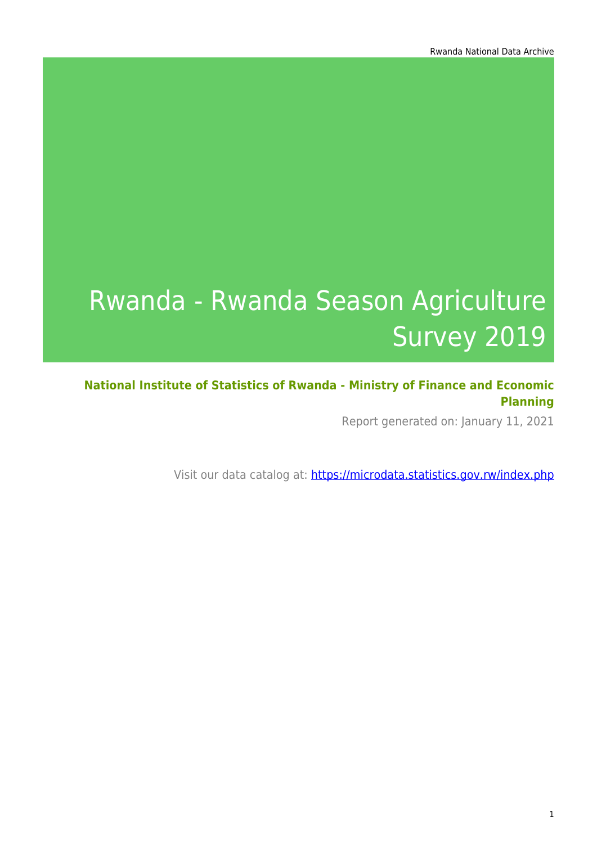# Rwanda - Rwanda Season Agriculture Survey 2019

**National Institute of Statistics of Rwanda - Ministry of Finance and Economic Planning**

Report generated on: January 11, 2021

Visit our data catalog at: https://microdata.statistics.gov.rw/index.php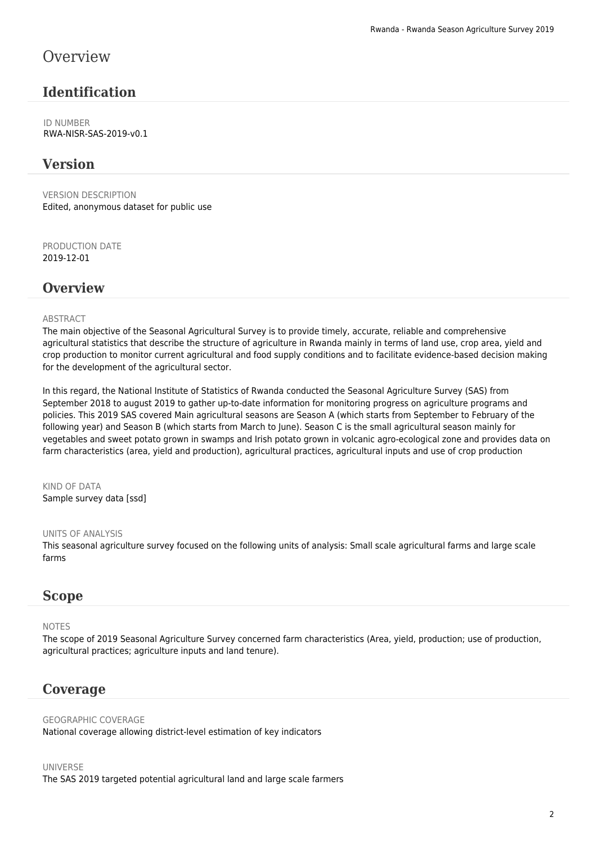### **Overview**

### **Identification**

ID NUMBER RWA-NISR-SAS-2019-v0.1

### **Version**

VERSION DESCRIPTION Edited, anonymous dataset for public use

PRODUCTION DATE 2019-12-01

### **Overview**

#### **ABSTRACT**

The main objective of the Seasonal Agricultural Survey is to provide timely, accurate, reliable and comprehensive agricultural statistics that describe the structure of agriculture in Rwanda mainly in terms of land use, crop area, yield and crop production to monitor current agricultural and food supply conditions and to facilitate evidence-based decision making for the development of the agricultural sector.

In this regard, the National Institute of Statistics of Rwanda conducted the Seasonal Agriculture Survey (SAS) from September 2018 to august 2019 to gather up-to-date information for monitoring progress on agriculture programs and policies. This 2019 SAS covered Main agricultural seasons are Season A (which starts from September to February of the following year) and Season B (which starts from March to June). Season C is the small agricultural season mainly for vegetables and sweet potato grown in swamps and Irish potato grown in volcanic agro-ecological zone and provides data on farm characteristics (area, yield and production), agricultural practices, agricultural inputs and use of crop production

KIND OF DATA Sample survey data [ssd]

#### UNITS OF ANALYSIS

This seasonal agriculture survey focused on the following units of analysis: Small scale agricultural farms and large scale farms

#### **Scope**

#### NOTES

The scope of 2019 Seasonal Agriculture Survey concerned farm characteristics (Area, yield, production; use of production, agricultural practices; agriculture inputs and land tenure).

#### **Coverage**

GEOGRAPHIC COVERAGE National coverage allowing district-level estimation of key indicators

#### UNIVERSE The SAS 2019 targeted potential agricultural land and large scale farmers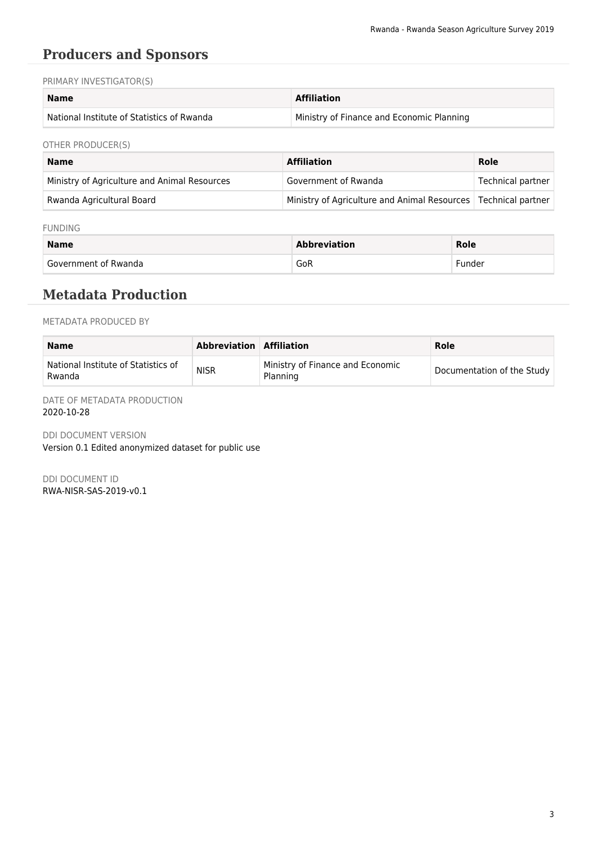### **Producers and Sponsors**

PRIMARY INVESTIGATOR(S)

| Name                                       | <b>Affiliation</b>                        |
|--------------------------------------------|-------------------------------------------|
| National Institute of Statistics of Rwanda | Ministry of Finance and Economic Planning |

OTHER PRODUCER(S)

| <b>Name</b>                                  | <b>Affiliation</b>                                               | Role              |
|----------------------------------------------|------------------------------------------------------------------|-------------------|
| Ministry of Agriculture and Animal Resources | Government of Rwanda                                             | Technical partner |
| Rwanda Agricultural Board                    | Ministry of Agriculture and Animal Resources   Technical partner |                   |

#### FUNDING

| <b>Name</b>            | <b>Abbreviation</b> | Role   |
|------------------------|---------------------|--------|
| ' Government of Rwanda | GoR                 | Funder |

### **Metadata Production**

METADATA PRODUCED BY

| Name                                          | <b>Abbreviation Affiliation</b> |                                              | Role                       |
|-----------------------------------------------|---------------------------------|----------------------------------------------|----------------------------|
| National Institute of Statistics of<br>Rwanda | <b>NISR</b>                     | Ministry of Finance and Economic<br>Planning | Documentation of the Study |

DATE OF METADATA PRODUCTION 2020-10-28

DDI DOCUMENT VERSION Version 0.1 Edited anonymized dataset for public use

DDI DOCUMENT ID RWA-NISR-SAS-2019-v0.1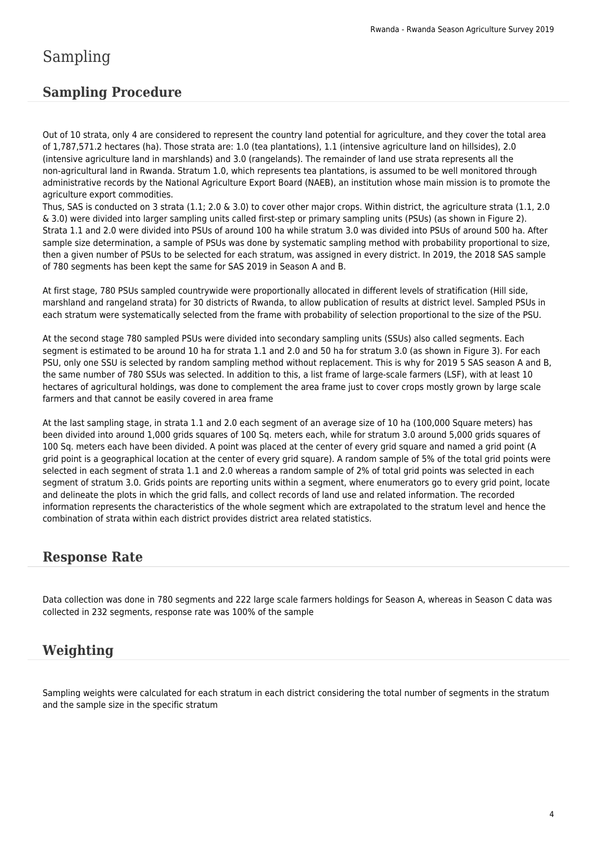### **Sampling Procedure**

Out of 10 strata, only 4 are considered to represent the country land potential for agriculture, and they cover the total area of 1,787,571.2 hectares (ha). Those strata are: 1.0 (tea plantations), 1.1 (intensive agriculture land on hillsides), 2.0 (intensive agriculture land in marshlands) and 3.0 (rangelands). The remainder of land use strata represents all the non-agricultural land in Rwanda. Stratum 1.0, which represents tea plantations, is assumed to be well monitored through administrative records by the National Agriculture Export Board (NAEB), an institution whose main mission is to promote the agriculture export commodities.

Thus, SAS is conducted on 3 strata (1.1; 2.0 & 3.0) to cover other major crops. Within district, the agriculture strata (1.1, 2.0 & 3.0) were divided into larger sampling units called first-step or primary sampling units (PSUs) (as shown in Figure 2). Strata 1.1 and 2.0 were divided into PSUs of around 100 ha while stratum 3.0 was divided into PSUs of around 500 ha. After sample size determination, a sample of PSUs was done by systematic sampling method with probability proportional to size, then a given number of PSUs to be selected for each stratum, was assigned in every district. In 2019, the 2018 SAS sample of 780 segments has been kept the same for SAS 2019 in Season A and B.

At first stage, 780 PSUs sampled countrywide were proportionally allocated in different levels of stratification (Hill side, marshland and rangeland strata) for 30 districts of Rwanda, to allow publication of results at district level. Sampled PSUs in each stratum were systematically selected from the frame with probability of selection proportional to the size of the PSU.

At the second stage 780 sampled PSUs were divided into secondary sampling units (SSUs) also called segments. Each segment is estimated to be around 10 ha for strata 1.1 and 2.0 and 50 ha for stratum 3.0 (as shown in Figure 3). For each PSU, only one SSU is selected by random sampling method without replacement. This is why for 2019 5 SAS season A and B, the same number of 780 SSUs was selected. In addition to this, a list frame of large-scale farmers (LSF), with at least 10 hectares of agricultural holdings, was done to complement the area frame just to cover crops mostly grown by large scale farmers and that cannot be easily covered in area frame

At the last sampling stage, in strata 1.1 and 2.0 each segment of an average size of 10 ha (100,000 Square meters) has been divided into around 1,000 grids squares of 100 Sq. meters each, while for stratum 3.0 around 5,000 grids squares of 100 Sq. meters each have been divided. A point was placed at the center of every grid square and named a grid point (A grid point is a geographical location at the center of every grid square). A random sample of 5% of the total grid points were selected in each segment of strata 1.1 and 2.0 whereas a random sample of 2% of total grid points was selected in each segment of stratum 3.0. Grids points are reporting units within a segment, where enumerators go to every grid point, locate and delineate the plots in which the grid falls, and collect records of land use and related information. The recorded information represents the characteristics of the whole segment which are extrapolated to the stratum level and hence the combination of strata within each district provides district area related statistics.

### **Response Rate**

Data collection was done in 780 segments and 222 large scale farmers holdings for Season A, whereas in Season C data was collected in 232 segments, response rate was 100% of the sample

### **Weighting**

Sampling weights were calculated for each stratum in each district considering the total number of segments in the stratum and the sample size in the specific stratum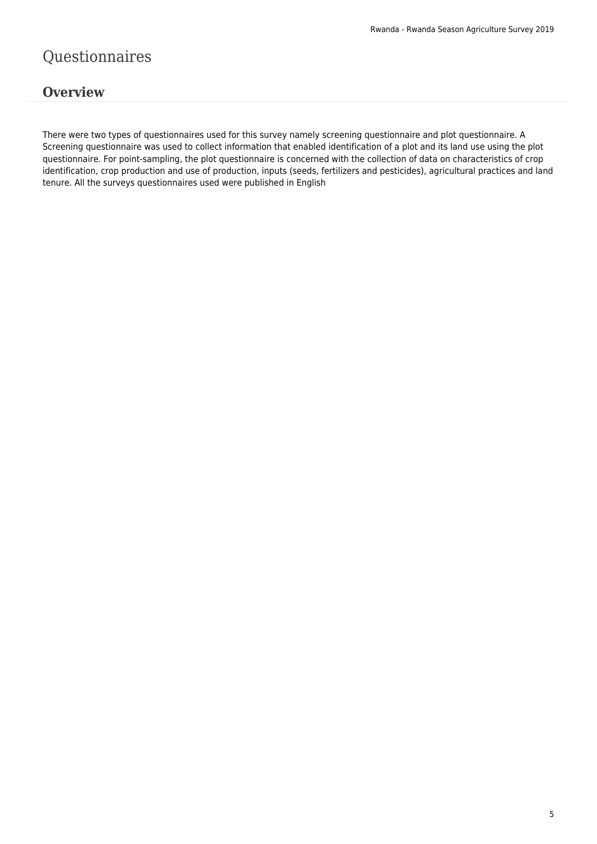## Questionnaires

### **Overview**

There were two types of questionnaires used for this survey namely screening questionnaire and plot questionnaire. A Screening questionnaire was used to collect information that enabled identification of a plot and its land use using the plot questionnaire. For point-sampling, the plot questionnaire is concerned with the collection of data on characteristics of crop identification, crop production and use of production, inputs (seeds, fertilizers and pesticides), agricultural practices and land tenure. All the surveys questionnaires used were published in English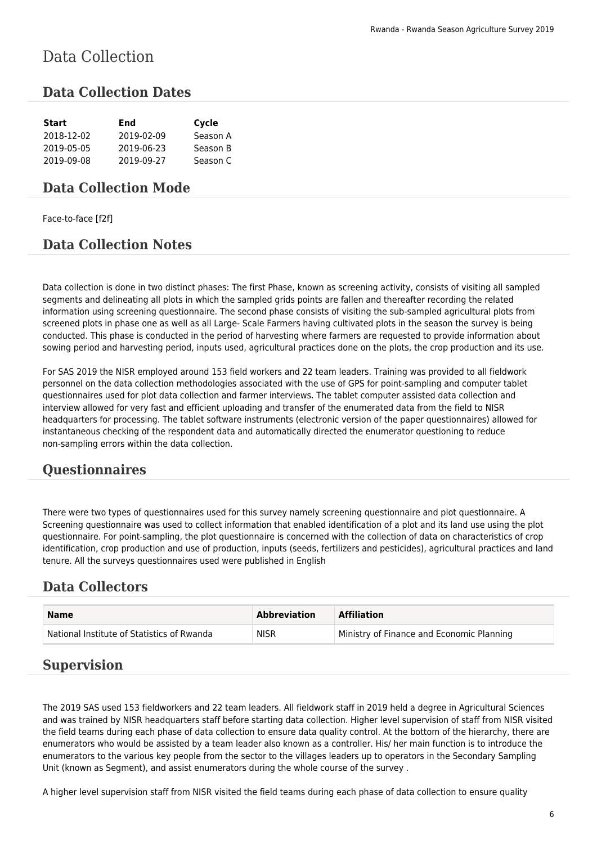# Data Collection

### **Data Collection Dates**

| <b>Start</b> | End        | Cycle    |
|--------------|------------|----------|
| 2018-12-02   | 2019-02-09 | Season A |
| 2019-05-05   | 2019-06-23 | Season B |
| 2019-09-08   | 2019-09-27 | Season C |

#### **Data Collection Mode**

Face-to-face [f2f]

### **Data Collection Notes**

Data collection is done in two distinct phases: The first Phase, known as screening activity, consists of visiting all sampled segments and delineating all plots in which the sampled grids points are fallen and thereafter recording the related information using screening questionnaire. The second phase consists of visiting the sub-sampled agricultural plots from screened plots in phase one as well as all Large- Scale Farmers having cultivated plots in the season the survey is being conducted. This phase is conducted in the period of harvesting where farmers are requested to provide information about sowing period and harvesting period, inputs used, agricultural practices done on the plots, the crop production and its use.

For SAS 2019 the NISR employed around 153 field workers and 22 team leaders. Training was provided to all fieldwork personnel on the data collection methodologies associated with the use of GPS for point-sampling and computer tablet questionnaires used for plot data collection and farmer interviews. The tablet computer assisted data collection and interview allowed for very fast and efficient uploading and transfer of the enumerated data from the field to NISR headquarters for processing. The tablet software instruments (electronic version of the paper questionnaires) allowed for instantaneous checking of the respondent data and automatically directed the enumerator questioning to reduce non-sampling errors within the data collection.

### **Questionnaires**

There were two types of questionnaires used for this survey namely screening questionnaire and plot questionnaire. A Screening questionnaire was used to collect information that enabled identification of a plot and its land use using the plot questionnaire. For point-sampling, the plot questionnaire is concerned with the collection of data on characteristics of crop identification, crop production and use of production, inputs (seeds, fertilizers and pesticides), agricultural practices and land tenure. All the surveys questionnaires used were published in English

### **Data Collectors**

| <b>Name</b>                                | <b>Abbreviation</b> | <b>Affiliation</b>                        |
|--------------------------------------------|---------------------|-------------------------------------------|
| National Institute of Statistics of Rwanda | <b>NISR</b>         | Ministry of Finance and Economic Planning |

### **Supervision**

The 2019 SAS used 153 fieldworkers and 22 team leaders. All fieldwork staff in 2019 held a degree in Agricultural Sciences and was trained by NISR headquarters staff before starting data collection. Higher level supervision of staff from NISR visited the field teams during each phase of data collection to ensure data quality control. At the bottom of the hierarchy, there are enumerators who would be assisted by a team leader also known as a controller. His/ her main function is to introduce the enumerators to the various key people from the sector to the villages leaders up to operators in the Secondary Sampling Unit (known as Segment), and assist enumerators during the whole course of the survey .

A higher level supervision staff from NISR visited the field teams during each phase of data collection to ensure quality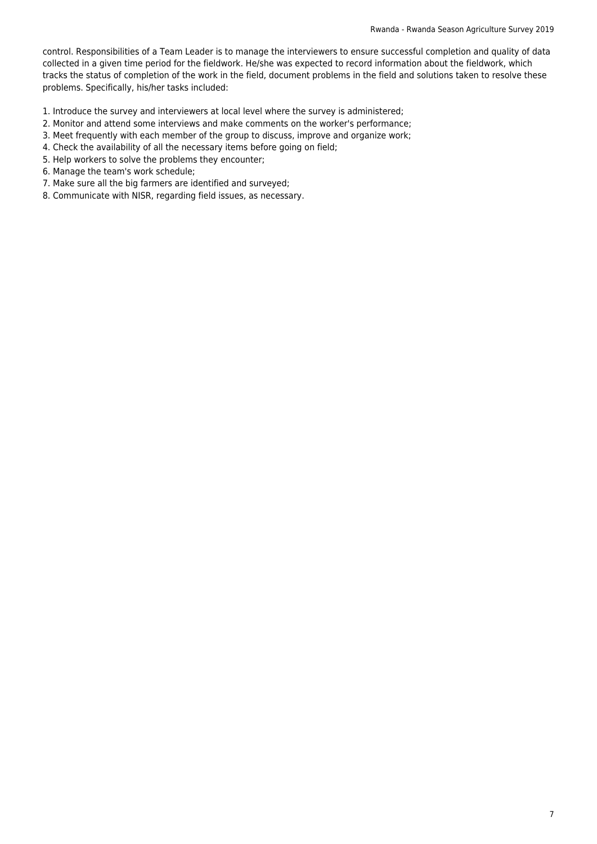control. Responsibilities of a Team Leader is to manage the interviewers to ensure successful completion and quality of data collected in a given time period for the fieldwork. He/she was expected to record information about the fieldwork, which tracks the status of completion of the work in the field, document problems in the field and solutions taken to resolve these problems. Specifically, his/her tasks included:

- 1. Introduce the survey and interviewers at local level where the survey is administered;
- 2. Monitor and attend some interviews and make comments on the worker's performance;
- 3. Meet frequently with each member of the group to discuss, improve and organize work;
- 4. Check the availability of all the necessary items before going on field;
- 5. Help workers to solve the problems they encounter;
- 6. Manage the team's work schedule;
- 7. Make sure all the big farmers are identified and surveyed;
- 8. Communicate with NISR, regarding field issues, as necessary.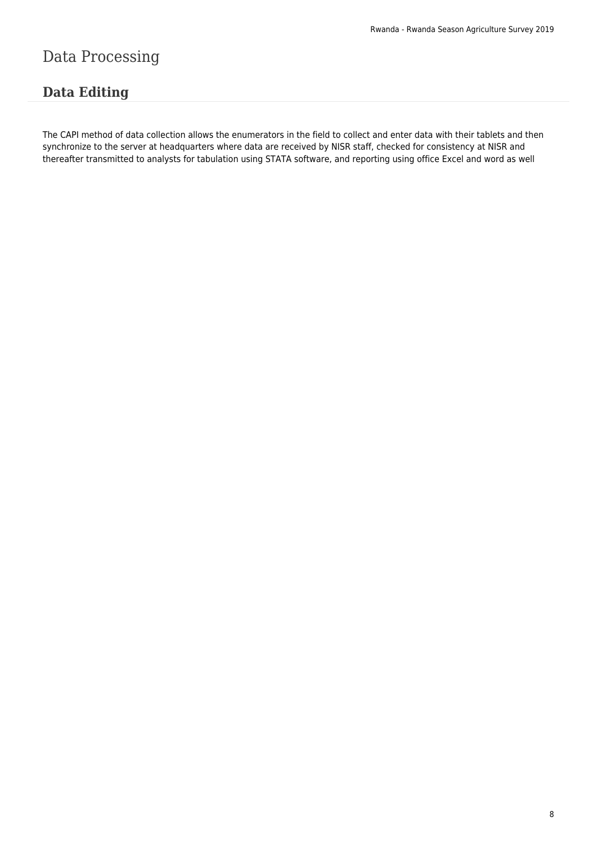# Data Processing

### **Data Editing**

The CAPI method of data collection allows the enumerators in the field to collect and enter data with their tablets and then synchronize to the server at headquarters where data are received by NISR staff, checked for consistency at NISR and thereafter transmitted to analysts for tabulation using STATA software, and reporting using office Excel and word as well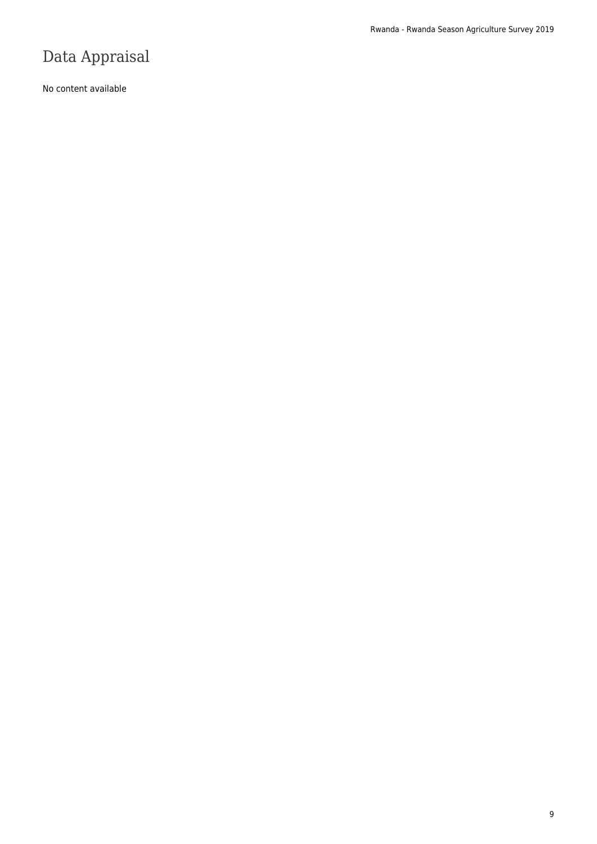# Data Appraisal

No content available